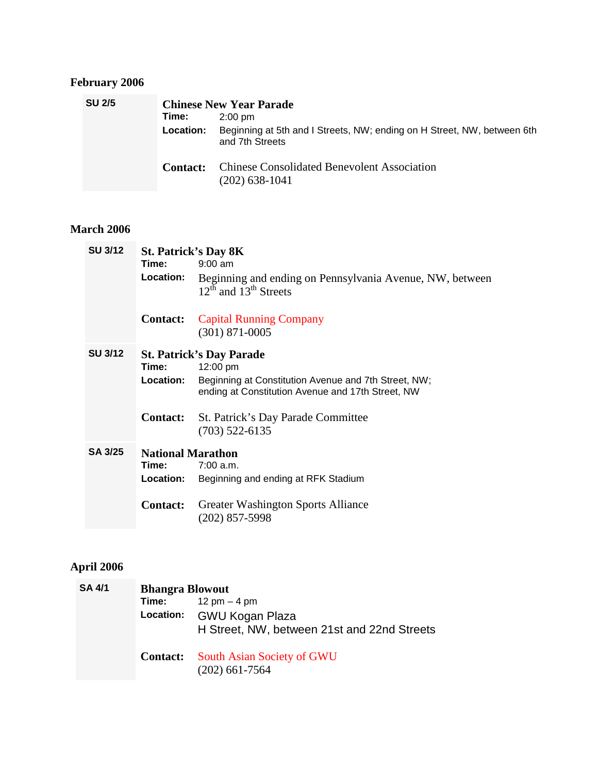# **February 2006**

| <b>SU 2/5</b> |                  | <b>Chinese New Year Parade</b>                                                             |
|---------------|------------------|--------------------------------------------------------------------------------------------|
|               | Time:            | $2:00 \text{ pm}$                                                                          |
|               | <b>Location:</b> | Beginning at 5th and I Streets, NW; ending on H Street, NW, between 6th<br>and 7th Streets |
|               | <b>Contact:</b>  | <b>Chinese Consolidated Benevolent Association</b><br>$(202)$ 638-1041                     |

#### **March 2006**

| <b>SU 3/12</b> |                          | <b>St. Patrick's Day 8K</b>                                                                                                                              |
|----------------|--------------------------|----------------------------------------------------------------------------------------------------------------------------------------------------------|
|                | Time:                    | $9:00$ am                                                                                                                                                |
|                | Location:                | Beginning and ending on Pennsylvania Avenue, NW, between<br>$12^{th}$ and $13^{th}$ Streets                                                              |
|                | <b>Contact:</b>          | <b>Capital Running Company</b><br>$(301)$ 871-0005                                                                                                       |
| <b>SU 3/12</b> | Time:<br>Location:       | <b>St. Patrick's Day Parade</b><br>12:00 pm<br>Beginning at Constitution Avenue and 7th Street, NW;<br>ending at Constitution Avenue and 17th Street, NW |
|                | <b>Contact:</b>          | St. Patrick's Day Parade Committee<br>$(703)$ 522-6135                                                                                                   |
| <b>SA 3/25</b> | <b>National Marathon</b> |                                                                                                                                                          |
|                | Time:                    | $7:00$ a.m.                                                                                                                                              |
|                | Location:                | Beginning and ending at RFK Stadium                                                                                                                      |
|                | <b>Contact:</b>          | Greater Washington Sports Alliance<br>$(202)$ 857-5998                                                                                                   |

### **April 2006**

| <b>SA 4/1</b> | <b>Bhangra Blowout</b> |                                                                          |
|---------------|------------------------|--------------------------------------------------------------------------|
|               | Time:                  | 12 pm $-$ 4 pm                                                           |
|               |                        | Location: GWU Kogan Plaza<br>H Street, NW, between 21st and 22nd Streets |
|               | <b>Contact:</b>        | <b>South Asian Society of GWU</b><br>$(202)$ 661-7564                    |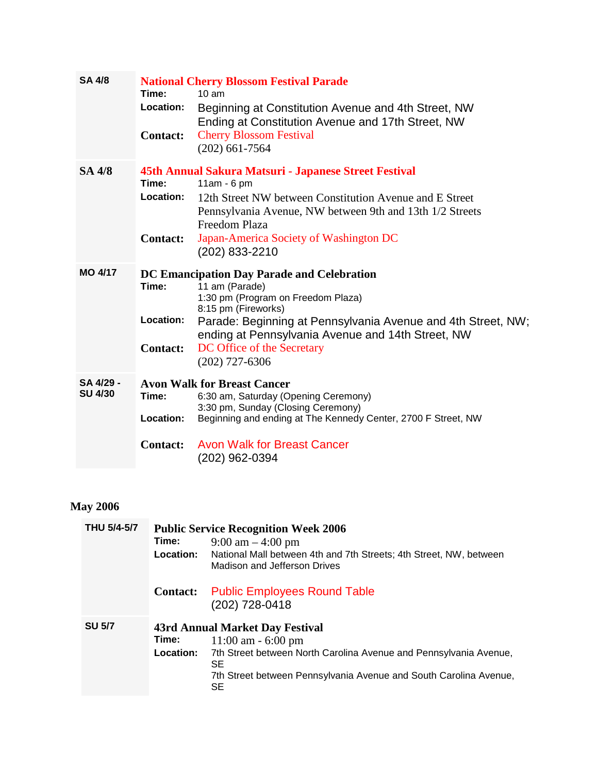| Time:<br>Location:<br><b>Contact:</b> | <b>National Cherry Blossom Festival Parade</b><br>10 <sub>am</sub><br>Beginning at Constitution Avenue and 4th Street, NW<br>Ending at Constitution Avenue and 17th Street, NW<br><b>Cherry Blossom Festival</b><br>$(202)$ 661-7564                                                             |
|---------------------------------------|--------------------------------------------------------------------------------------------------------------------------------------------------------------------------------------------------------------------------------------------------------------------------------------------------|
| Time:<br>Location:<br><b>Contact:</b> | 45th Annual Sakura Matsuri - Japanese Street Festival<br>$11am - 6pm$<br>12th Street NW between Constitution Avenue and E Street<br>Pennsylvania Avenue, NW between 9th and 13th 1/2 Streets<br>Freedom Plaza<br>Japan-America Society of Washington DC<br>(202) 833-2210                        |
| Time:<br>Location:<br><b>Contact:</b> | DC Emancipation Day Parade and Celebration<br>11 am (Parade)<br>1:30 pm (Program on Freedom Plaza)<br>8:15 pm (Fireworks)<br>Parade: Beginning at Pennsylvania Avenue and 4th Street, NW;<br>ending at Pennsylvania Avenue and 14th Street, NW<br>DC Office of the Secretary<br>$(202)$ 727-6306 |
| Time:<br>Location:<br><b>Contact:</b> | <b>Avon Walk for Breast Cancer</b><br>6:30 am, Saturday (Opening Ceremony)<br>3:30 pm, Sunday (Closing Ceremony)<br>Beginning and ending at The Kennedy Center, 2700 F Street, NW<br><b>Avon Walk for Breast Cancer</b><br>(202) 962-0394                                                        |
|                                       |                                                                                                                                                                                                                                                                                                  |

# **May 2006**

| <b>THU 5/4-5/7</b> | Time:<br>Location:        | <b>Public Service Recognition Week 2006</b><br>$9:00 \text{ am} - 4:00 \text{ pm}$<br>National Mall between 4th and 7th Streets; 4th Street, NW, between<br>Madison and Jefferson Drives                         |
|--------------------|---------------------------|------------------------------------------------------------------------------------------------------------------------------------------------------------------------------------------------------------------|
|                    | <b>Contact:</b>           | <b>Public Employees Round Table</b><br>(202) 728-0418                                                                                                                                                            |
| <b>SU 5/7</b>      | Time:<br><b>Location:</b> | 43rd Annual Market Day Festival<br>$11:00$ am $-6:00$ pm<br>7th Street between North Carolina Avenue and Pennsylvania Avenue,<br>SE.<br>7th Street between Pennsylvania Avenue and South Carolina Avenue,<br>SE. |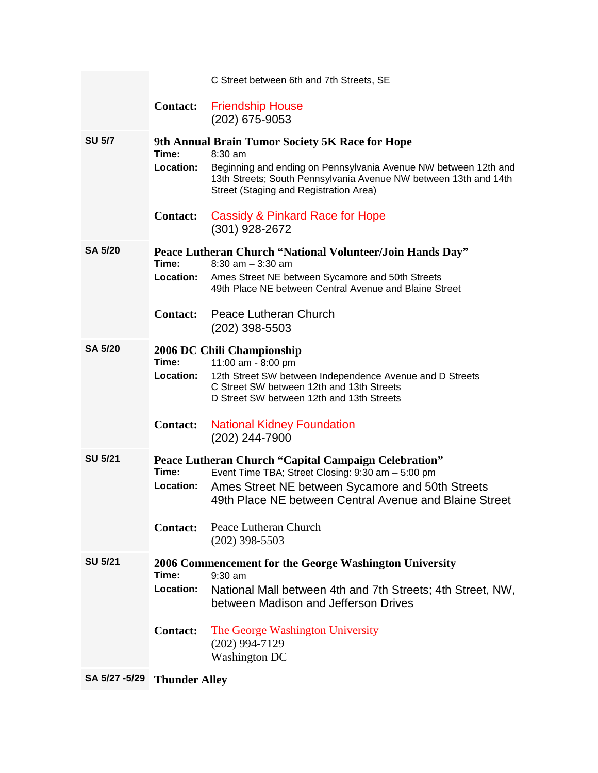|                |                                              | C Street between 6th and 7th Streets, SE                                                                                                                                                                                                    |
|----------------|----------------------------------------------|---------------------------------------------------------------------------------------------------------------------------------------------------------------------------------------------------------------------------------------------|
|                | <b>Contact:</b>                              | <b>Friendship House</b><br>(202) 675-9053                                                                                                                                                                                                   |
| <b>SU 5/7</b>  | Time:<br>Location:                           | 9th Annual Brain Tumor Society 5K Race for Hope<br>8:30 am<br>Beginning and ending on Pennsylvania Avenue NW between 12th and<br>13th Streets; South Pennsylvania Avenue NW between 13th and 14th<br>Street (Staging and Registration Area) |
|                | <b>Contact:</b>                              | Cassidy & Pinkard Race for Hope<br>(301) 928-2672                                                                                                                                                                                           |
| <b>SA 5/20</b> | Time:<br>Location:<br><b>Contact:</b>        | Peace Lutheran Church "National Volunteer/Join Hands Day"<br>$8:30$ am $-3:30$ am<br>Ames Street NE between Sycamore and 50th Streets<br>49th Place NE between Central Avenue and Blaine Street<br>Peace Lutheran Church                    |
|                |                                              | (202) 398-5503                                                                                                                                                                                                                              |
| <b>SA 5/20</b> | Time:<br><b>Location:</b><br><b>Contact:</b> | 2006 DC Chili Championship<br>11:00 am - 8:00 pm<br>12th Street SW between Independence Avenue and D Streets<br>C Street SW between 12th and 13th Streets<br>D Street SW between 12th and 13th Streets<br><b>National Kidney Foundation</b> |
|                |                                              | (202) 244-7900                                                                                                                                                                                                                              |
| <b>SU 5/21</b> | Time:<br>Location:                           | <b>Peace Lutheran Church "Capital Campaign Celebration"</b><br>Event Time TBA; Street Closing: 9:30 am - 5:00 pm<br>Ames Street NE between Sycamore and 50th Streets<br>49th Place NE between Central Avenue and Blaine Street              |
|                | <b>Contact:</b>                              | Peace Lutheran Church<br>$(202)$ 398-5503                                                                                                                                                                                                   |
| <b>SU 5/21</b> | Time:<br>Location:                           | 2006 Commencement for the George Washington University<br>$9:30$ am<br>National Mall between 4th and 7th Streets; 4th Street, NW,<br>between Madison and Jefferson Drives                                                                   |
|                | <b>Contact:</b>                              | The George Washington University<br>$(202)$ 994-7129<br><b>Washington DC</b>                                                                                                                                                                |

**SA 5/27 -5/29 Thunder Alley**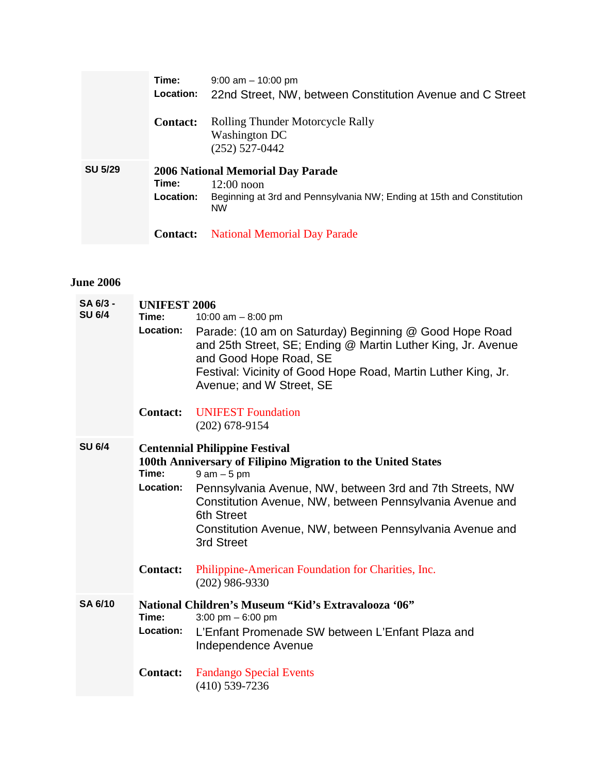|                | Time:<br><b>Location:</b> | $9:00$ am $-10:00$ pm<br>22nd Street, NW, between Constitution Avenue and C Street                                                      |
|----------------|---------------------------|-----------------------------------------------------------------------------------------------------------------------------------------|
|                | <b>Contact:</b>           | <b>Rolling Thunder Motorcycle Rally</b><br>Washington DC<br>$(252)$ 527-0442                                                            |
| <b>SU 5/29</b> | Time:<br>Location:        | 2006 National Memorial Day Parade<br>$12:00$ noon<br>Beginning at 3rd and Pennsylvania NW; Ending at 15th and Constitution<br><b>NW</b> |
|                | <b>Contact:</b>           | <b>National Memorial Day Parade</b>                                                                                                     |

#### **June 2006**

| SA 6/3 -<br><b>SU 6/4</b> | <b>UNIFEST 2006</b><br>Time:<br>Location: | 10:00 am $-8:00$ pm<br>Parade: (10 am on Saturday) Beginning @ Good Hope Road<br>and 25th Street, SE; Ending @ Martin Luther King, Jr. Avenue<br>and Good Hope Road, SE<br>Festival: Vicinity of Good Hope Road, Martin Luther King, Jr.<br>Avenue; and W Street, SE                                                                    |
|---------------------------|-------------------------------------------|-----------------------------------------------------------------------------------------------------------------------------------------------------------------------------------------------------------------------------------------------------------------------------------------------------------------------------------------|
|                           | <b>Contact:</b>                           | <b>UNIFEST Foundation</b><br>$(202)$ 678-9154                                                                                                                                                                                                                                                                                           |
| <b>SU 6/4</b>             | Time:<br>Location:                        | <b>Centennial Philippine Festival</b><br>100th Anniversary of Filipino Migration to the United States<br>$9$ am $-5$ pm<br>Pennsylvania Avenue, NW, between 3rd and 7th Streets, NW<br>Constitution Avenue, NW, between Pennsylvania Avenue and<br>6th Street<br>Constitution Avenue, NW, between Pennsylvania Avenue and<br>3rd Street |
|                           | <b>Contact:</b>                           | Philippine-American Foundation for Charities, Inc.<br>$(202)$ 986-9330                                                                                                                                                                                                                                                                  |
| <b>SA 6/10</b>            | Time:<br>Location:                        | National Children's Museum "Kid's Extravalooza '06"<br>3:00 pm $-6:00$ pm<br>L'Enfant Promenade SW between L'Enfant Plaza and<br>Independence Avenue                                                                                                                                                                                    |
|                           | <b>Contact:</b>                           | <b>Fandango Special Events</b><br>$(410)$ 539-7236                                                                                                                                                                                                                                                                                      |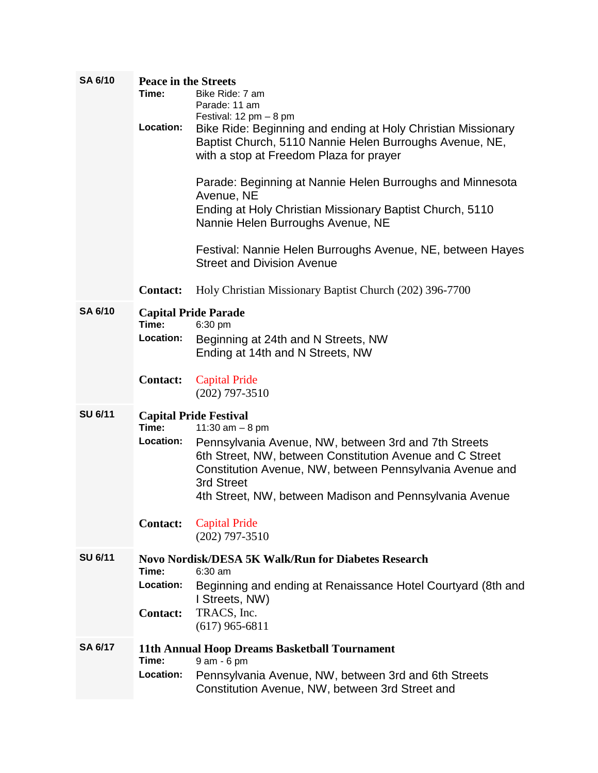| <b>SA 6/10</b> | <b>Peace in the Streets</b> |                                                                         |
|----------------|-----------------------------|-------------------------------------------------------------------------|
|                | Time:                       | Bike Ride: 7 am                                                         |
|                |                             | Parade: 11 am                                                           |
|                |                             | Festival: $12 \text{ pm} - 8 \text{ pm}$                                |
|                | Location:                   | Bike Ride: Beginning and ending at Holy Christian Missionary            |
|                |                             | Baptist Church, 5110 Nannie Helen Burroughs Avenue, NE,                 |
|                |                             | with a stop at Freedom Plaza for prayer                                 |
|                |                             |                                                                         |
|                |                             | Parade: Beginning at Nannie Helen Burroughs and Minnesota               |
|                |                             | Avenue, NE                                                              |
|                |                             | Ending at Holy Christian Missionary Baptist Church, 5110                |
|                |                             | Nannie Helen Burroughs Avenue, NE                                       |
|                |                             | Festival: Nannie Helen Burroughs Avenue, NE, between Hayes              |
|                |                             | <b>Street and Division Avenue</b>                                       |
|                |                             |                                                                         |
|                | <b>Contact:</b>             | Holy Christian Missionary Baptist Church (202) 396-7700                 |
|                |                             |                                                                         |
| <b>SA 6/10</b> |                             | <b>Capital Pride Parade</b>                                             |
|                | Time:                       | 6:30 pm                                                                 |
|                | Location:                   | Beginning at 24th and N Streets, NW                                     |
|                |                             | Ending at 14th and N Streets, NW                                        |
|                |                             |                                                                         |
|                | <b>Contact:</b>             | <b>Capital Pride</b>                                                    |
|                |                             | $(202)$ 797-3510                                                        |
| <b>SU 6/11</b> |                             | <b>Capital Pride Festival</b>                                           |
|                | Time:                       | 11:30 $am - 8 pm$                                                       |
|                | Location:                   | Pennsylvania Avenue, NW, between 3rd and 7th Streets                    |
|                |                             | 6th Street, NW, between Constitution Avenue and C Street                |
|                |                             | Constitution Avenue, NW, between Pennsylvania Avenue and                |
|                |                             | 3rd Street                                                              |
|                |                             | 4th Street, NW, between Madison and Pennsylvania Avenue                 |
|                |                             |                                                                         |
|                | <b>Contact:</b>             | <b>Capital Pride</b>                                                    |
|                |                             | $(202)$ 797-3510                                                        |
|                |                             |                                                                         |
| <b>SU 6/11</b> | Time:                       | <b>Novo Nordisk/DESA 5K Walk/Run for Diabetes Research</b><br>$6:30$ am |
|                | Location:                   |                                                                         |
|                |                             | Beginning and ending at Renaissance Hotel Courtyard (8th and            |
|                |                             | I Streets, NW)                                                          |
|                | <b>Contact:</b>             | TRACS, Inc.                                                             |
|                |                             | $(617)$ 965-6811                                                        |
| <b>SA 6/17</b> |                             | 11th Annual Hoop Dreams Basketball Tournament                           |
|                | Time:                       | 9 am - 6 pm                                                             |
|                | Location:                   | Pennsylvania Avenue, NW, between 3rd and 6th Streets                    |
|                |                             | Constitution Avenue, NW, between 3rd Street and                         |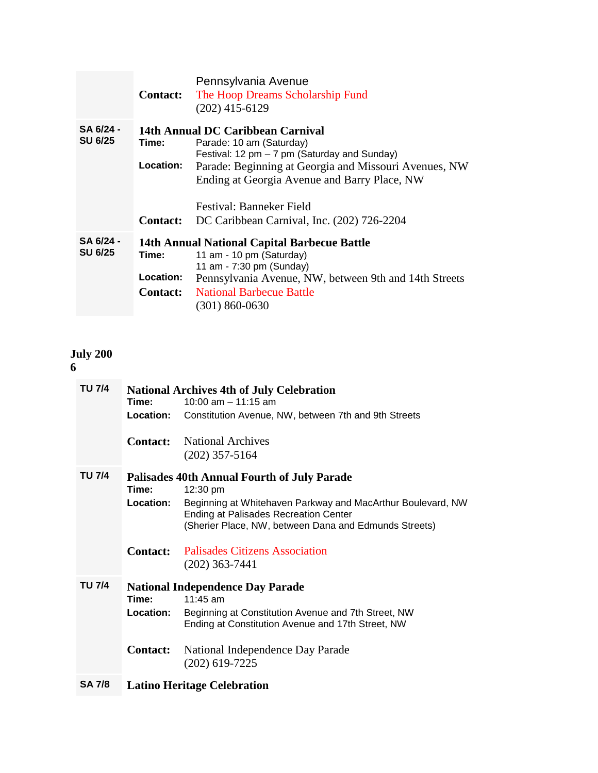|                | <b>Contact:</b>  | Pennsylvania Avenue<br>The Hoop Dreams Scholarship Fund<br>$(202)$ 415-6129 |
|----------------|------------------|-----------------------------------------------------------------------------|
| SA 6/24 -      |                  | 14th Annual DC Caribbean Carnival                                           |
| <b>SU 6/25</b> | Time:            | Parade: 10 am (Saturday)                                                    |
|                |                  | Festival: 12 pm $-7$ pm (Saturday and Sunday)                               |
|                | Location:        | Parade: Beginning at Georgia and Missouri Avenues, NW                       |
|                |                  | Ending at Georgia Avenue and Barry Place, NW                                |
|                |                  | Festival: Banneker Field                                                    |
|                | <b>Contact:</b>  | DC Caribbean Carnival, Inc. (202) 726-2204                                  |
| SA 6/24 -      |                  | <b>14th Annual National Capital Barbecue Battle</b>                         |
| <b>SU 6/25</b> | Time:            | 11 am - 10 pm (Saturday)                                                    |
|                |                  | 11 am - 7:30 pm (Sunday)                                                    |
|                | <b>Location:</b> | Pennsylvania Avenue, NW, between 9th and 14th Streets                       |
|                | <b>Contact:</b>  | <b>National Barbecue Battle</b>                                             |
|                |                  | $(301) 860 - 0630$                                                          |

# **July 200**

**6**

| TU 7/4 |                  | <b>National Archives 4th of July Celebration</b>                                                                                                                     |
|--------|------------------|----------------------------------------------------------------------------------------------------------------------------------------------------------------------|
|        | Time:            | 10:00 am $-$ 11:15 am                                                                                                                                                |
|        | Location:        | Constitution Avenue, NW, between 7th and 9th Streets                                                                                                                 |
|        | <b>Contact:</b>  | <b>National Archives</b><br>$(202)$ 357-5164                                                                                                                         |
| TU 7/4 | Time:            | <b>Palisades 40th Annual Fourth of July Parade</b><br>12:30 pm                                                                                                       |
|        | <b>Location:</b> | Beginning at Whitehaven Parkway and MacArthur Boulevard, NW<br><b>Ending at Palisades Recreation Center</b><br>(Sherier Place, NW, between Dana and Edmunds Streets) |
|        | <b>Contact:</b>  | <b>Palisades Citizens Association</b><br>$(202)$ 363-7441                                                                                                            |
| TU 7/4 |                  | <b>National Independence Day Parade</b>                                                                                                                              |
|        | Time:            | $11:45$ am                                                                                                                                                           |
|        | <b>Location:</b> | Beginning at Constitution Avenue and 7th Street, NW<br>Ending at Constitution Avenue and 17th Street, NW                                                             |
|        | <b>Contact:</b>  | National Independence Day Parade<br>$(202)$ 619-7225                                                                                                                 |
| SA 7/8 |                  | <b>Latino Heritage Celebration</b>                                                                                                                                   |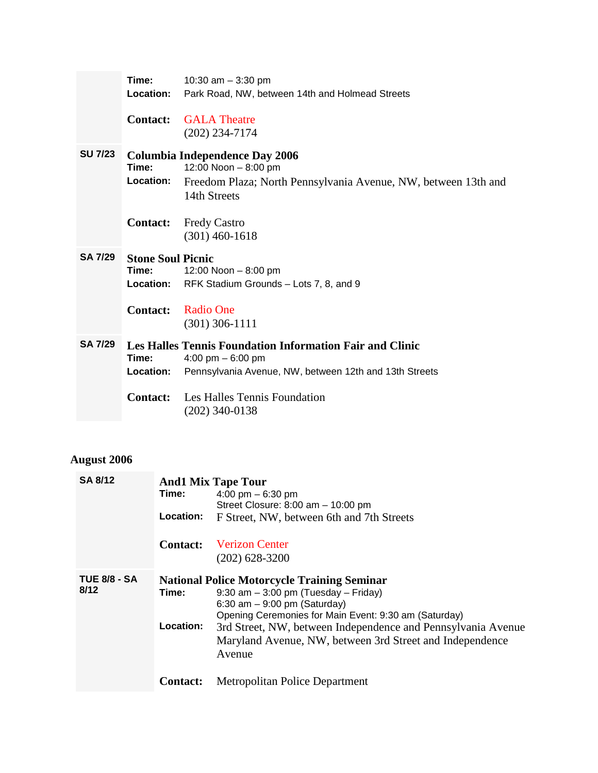|                | Time:                    | 10:30 am $-$ 3:30 pm                                                           |
|----------------|--------------------------|--------------------------------------------------------------------------------|
|                | Location:                | Park Road, NW, between 14th and Holmead Streets                                |
|                | <b>Contact:</b>          | <b>GALA</b> Theatre                                                            |
|                |                          | $(202)$ 234-7174                                                               |
| <b>SU 7/23</b> |                          | <b>Columbia Independence Day 2006</b>                                          |
|                | Time:                    | 12:00 Noon - 8:00 pm                                                           |
|                | Location:                | Freedom Plaza; North Pennsylvania Avenue, NW, between 13th and<br>14th Streets |
|                |                          |                                                                                |
|                | <b>Contact:</b>          | <b>Fredy Castro</b><br>$(301)$ 460-1618                                        |
|                |                          |                                                                                |
|                |                          |                                                                                |
| <b>SA 7/29</b> | <b>Stone Soul Picnic</b> |                                                                                |
|                | Time:                    | 12:00 Noon $-8:00$ pm                                                          |
|                | Location:                | RFK Stadium Grounds - Lots 7, 8, and 9                                         |
|                | <b>Contact:</b>          | Radio One                                                                      |
|                |                          | $(301)$ 306-1111                                                               |
| <b>SA 7/29</b> |                          | <b>Les Halles Tennis Foundation Information Fair and Clinic</b>                |
|                | Time:                    | 4:00 pm $-6:00$ pm                                                             |
|                | <b>Location:</b>         | Pennsylvania Avenue, NW, between 12th and 13th Streets                         |
|                |                          | <b>Contact:</b> Les Halles Tennis Foundation                                   |

## **August 2006**

| <b>SA 8/12</b>      |                                                    | <b>And1 Mix Tape Tour</b>                                    |  |
|---------------------|----------------------------------------------------|--------------------------------------------------------------|--|
|                     | Time:                                              | 4:00 pm $-6:30$ pm                                           |  |
|                     |                                                    | Street Closure: 8:00 am - 10:00 pm                           |  |
|                     | Location:                                          | F Street, NW, between 6th and 7th Streets                    |  |
|                     | <b>Contact:</b>                                    | <b>Verizon Center</b>                                        |  |
|                     |                                                    | $(202)$ 628-3200                                             |  |
| <b>TUE 8/8 - SA</b> | <b>National Police Motorcycle Training Seminar</b> |                                                              |  |
| 8/12                | Time:                                              | $9:30$ am $-3:00$ pm (Tuesday $-$ Friday)                    |  |
|                     |                                                    | 6:30 am $-$ 9:00 pm (Saturday)                               |  |
|                     |                                                    | Opening Ceremonies for Main Event: 9:30 am (Saturday)        |  |
|                     | Location:                                          | 3rd Street, NW, between Independence and Pennsylvania Avenue |  |
|                     |                                                    | Maryland Avenue, NW, between 3rd Street and Independence     |  |
|                     |                                                    | Avenue                                                       |  |
|                     | <b>Contact:</b>                                    | Metropolitan Police Department                               |  |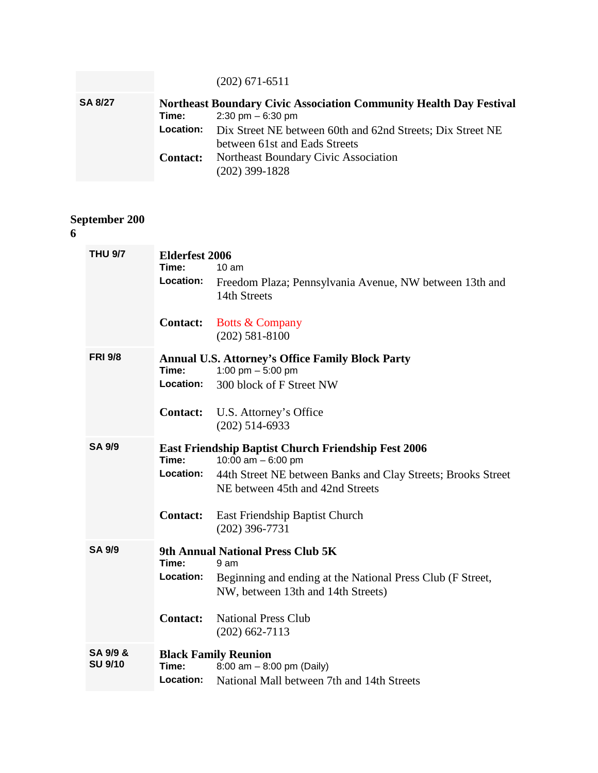|                |                 | $(202)$ 671-6511                                                            |  |  |
|----------------|-----------------|-----------------------------------------------------------------------------|--|--|
| <b>SA 8/27</b> |                 | <b>Northeast Boundary Civic Association Community Health Day Festival</b>   |  |  |
|                | Time:           | $2:30 \text{ pm} - 6:30 \text{ pm}$                                         |  |  |
|                |                 | <b>Location:</b> Dix Street NE between 60th and 62nd Streets; Dix Street NE |  |  |
|                |                 | between 61st and Eads Streets                                               |  |  |
|                | <b>Contact:</b> | Northeast Boundary Civic Association                                        |  |  |
|                |                 | $(202)$ 399-1828                                                            |  |  |

#### **September 200**

#### **6**

| <b>THU 9/7</b>             | <b>Elderfest 2006</b><br>Time:<br>Location: | $10 \text{ am}$<br>Freedom Plaza; Pennsylvania Avenue, NW between 13th and<br>14th Streets                                                                                                                                                  |
|----------------------------|---------------------------------------------|---------------------------------------------------------------------------------------------------------------------------------------------------------------------------------------------------------------------------------------------|
|                            | <b>Contact:</b>                             | <b>Botts &amp; Company</b><br>$(202)$ 581-8100                                                                                                                                                                                              |
| <b>FRI 9/8</b>             | Time:<br>Location:<br><b>Contact:</b>       | <b>Annual U.S. Attorney's Office Family Block Party</b><br>1:00 pm $-$ 5:00 pm<br>300 block of F Street NW<br>U.S. Attorney's Office<br>$(202)$ 514-6933                                                                                    |
| <b>SA 9/9</b>              | Time:<br>Location:<br><b>Contact:</b>       | <b>East Friendship Baptist Church Friendship Fest 2006</b><br>10:00 am $-6:00$ pm<br>44th Street NE between Banks and Clay Streets; Brooks Street<br>NE between 45th and 42nd Streets<br>East Friendship Baptist Church<br>$(202)$ 396-7731 |
| <b>SA 9/9</b>              | Time:<br>Location:<br><b>Contact:</b>       | 9th Annual National Press Club 5K<br>9 am<br>Beginning and ending at the National Press Club (F Street,<br>NW, between 13th and 14th Streets)<br><b>National Press Club</b><br>$(202)$ 662-7113                                             |
| SA 9/9 &<br><b>SU 9/10</b> | Time:<br>Location:                          | <b>Black Family Reunion</b><br>8:00 am $-$ 8:00 pm (Daily)<br>National Mall between 7th and 14th Streets                                                                                                                                    |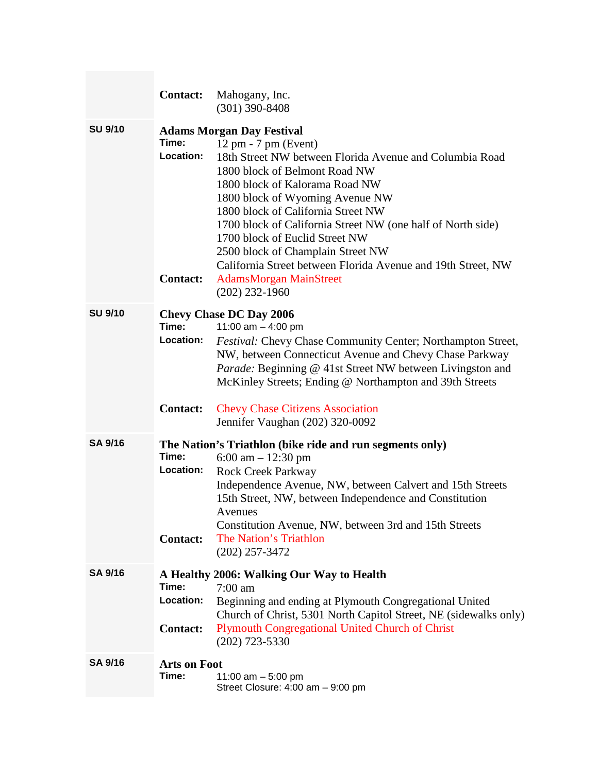|                | <b>Contact:</b>                              | Mahogany, Inc.<br>$(301)$ 390-8408                                                                                                                                                                                                                                                                                                                                                                                                                                                                                                           |
|----------------|----------------------------------------------|----------------------------------------------------------------------------------------------------------------------------------------------------------------------------------------------------------------------------------------------------------------------------------------------------------------------------------------------------------------------------------------------------------------------------------------------------------------------------------------------------------------------------------------------|
| <b>SU 9/10</b> | Time:<br>Location:<br><b>Contact:</b>        | <b>Adams Morgan Day Festival</b><br>$12 \text{ pm} - 7 \text{ pm}$ (Event)<br>18th Street NW between Florida Avenue and Columbia Road<br>1800 block of Belmont Road NW<br>1800 block of Kalorama Road NW<br>1800 block of Wyoming Avenue NW<br>1800 block of California Street NW<br>1700 block of California Street NW (one half of North side)<br>1700 block of Euclid Street NW<br>2500 block of Champlain Street NW<br>California Street between Florida Avenue and 19th Street, NW<br><b>AdamsMorgan MainStreet</b><br>$(202)$ 232-1960 |
| <b>SU 9/10</b> | Time:<br><b>Location:</b><br><b>Contact:</b> | <b>Chevy Chase DC Day 2006</b><br>11:00 am $-$ 4:00 pm<br>Festival: Chevy Chase Community Center; Northampton Street,<br>NW, between Connecticut Avenue and Chevy Chase Parkway<br>Parade: Beginning @ 41st Street NW between Livingston and<br>McKinley Streets; Ending @ Northampton and 39th Streets<br><b>Chevy Chase Citizens Association</b>                                                                                                                                                                                           |
| <b>SA 9/16</b> | Time:<br>Location:<br><b>Contact:</b>        | Jennifer Vaughan (202) 320-0092<br>The Nation's Triathlon (bike ride and run segments only)<br>6:00 am $- 12:30$ pm<br><b>Rock Creek Parkway</b><br>Independence Avenue, NW, between Calvert and 15th Streets<br>15th Street, NW, between Independence and Constitution<br>Avenues<br>Constitution Avenue, NW, between 3rd and 15th Streets<br>The Nation's Triathlon<br>$(202)$ 257-3472                                                                                                                                                    |
| <b>SA 9/16</b> | Time:<br>Location:<br><b>Contact:</b>        | A Healthy 2006: Walking Our Way to Health<br>$7:00$ am<br>Beginning and ending at Plymouth Congregational United<br>Church of Christ, 5301 North Capitol Street, NE (sidewalks only)<br><b>Plymouth Congregational United Church of Christ</b><br>$(202)$ 723-5330                                                                                                                                                                                                                                                                           |
| <b>SA 9/16</b> | <b>Arts on Foot</b><br>Time:                 | 11:00 am $-5:00$ pm<br>Street Closure: 4:00 am - 9:00 pm                                                                                                                                                                                                                                                                                                                                                                                                                                                                                     |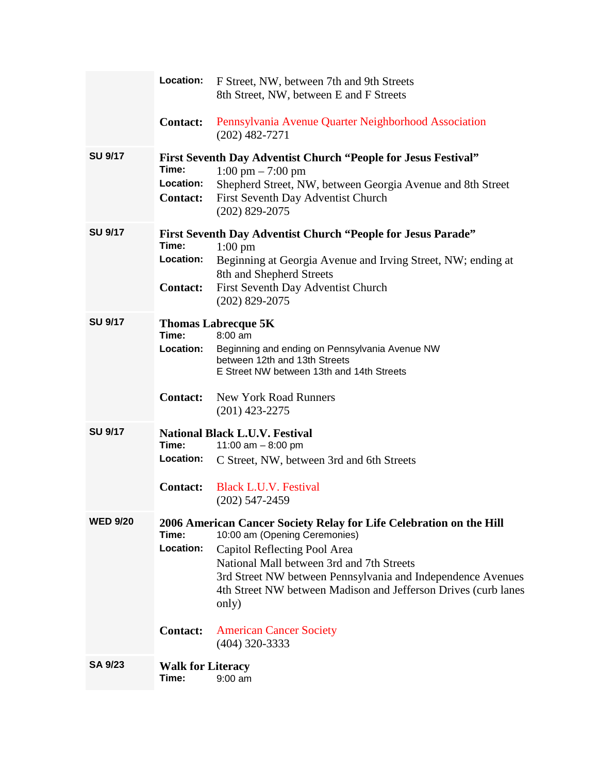|                 | Location:                             | F Street, NW, between 7th and 9th Streets<br>8th Street, NW, between E and F Streets                                                                                                                                                                                                                                        |
|-----------------|---------------------------------------|-----------------------------------------------------------------------------------------------------------------------------------------------------------------------------------------------------------------------------------------------------------------------------------------------------------------------------|
|                 | <b>Contact:</b>                       | Pennsylvania Avenue Quarter Neighborhood Association<br>$(202)$ 482-7271                                                                                                                                                                                                                                                    |
| <b>SU 9/17</b>  | Time:<br>Location:<br><b>Contact:</b> | First Seventh Day Adventist Church "People for Jesus Festival"<br>$1:00 \text{ pm} - 7:00 \text{ pm}$<br>Shepherd Street, NW, between Georgia Avenue and 8th Street<br>First Seventh Day Adventist Church<br>$(202)$ 829-2075                                                                                               |
| <b>SU 9/17</b>  | Time:<br>Location:<br><b>Contact:</b> | <b>First Seventh Day Adventist Church "People for Jesus Parade"</b><br>$1:00 \text{ pm}$<br>Beginning at Georgia Avenue and Irving Street, NW; ending at<br>8th and Shepherd Streets<br>First Seventh Day Adventist Church<br>$(202)$ 829-2075                                                                              |
| <b>SU 9/17</b>  | Time:<br>Location:                    | <b>Thomas Labrecque 5K</b><br>8:00 am<br>Beginning and ending on Pennsylvania Avenue NW<br>between 12th and 13th Streets<br>E Street NW between 13th and 14th Streets                                                                                                                                                       |
|                 | <b>Contact:</b>                       | <b>New York Road Runners</b><br>$(201)$ 423-2275                                                                                                                                                                                                                                                                            |
| <b>SU 9/17</b>  | Time:                                 | <b>National Black L.U.V. Festival</b><br>11:00 am $-8:00$ pm                                                                                                                                                                                                                                                                |
|                 | Location:                             | C Street, NW, between 3rd and 6th Streets                                                                                                                                                                                                                                                                                   |
|                 | <b>Contact:</b>                       | <b>Black L.U.V. Festival</b><br>$(202)$ 547-2459                                                                                                                                                                                                                                                                            |
| <b>WED 9/20</b> | Time:<br>Location:                    | 2006 American Cancer Society Relay for Life Celebration on the Hill<br>10:00 am (Opening Ceremonies)<br>Capitol Reflecting Pool Area<br>National Mall between 3rd and 7th Streets<br>3rd Street NW between Pennsylvania and Independence Avenues<br>4th Street NW between Madison and Jefferson Drives (curb lanes<br>only) |
|                 | <b>Contact:</b>                       | <b>American Cancer Society</b><br>$(404)$ 320-3333                                                                                                                                                                                                                                                                          |
| <b>SA 9/23</b>  | <b>Walk for Literacy</b><br>Time:     | $9:00$ am                                                                                                                                                                                                                                                                                                                   |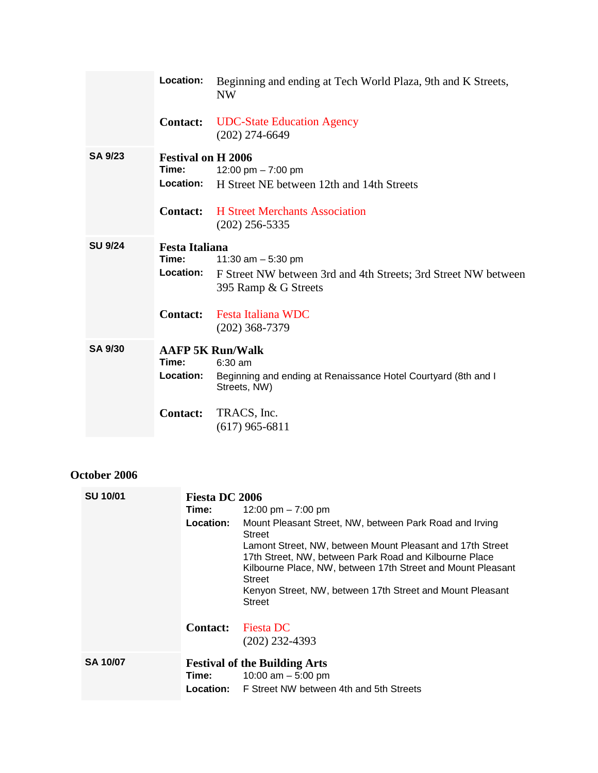|                | Location:                                                          | Beginning and ending at Tech World Plaza, 9th and K Streets,<br><b>NW</b>                                                     |
|----------------|--------------------------------------------------------------------|-------------------------------------------------------------------------------------------------------------------------------|
|                | <b>Contact:</b>                                                    | <b>UDC-State Education Agency</b><br>$(202)$ 274-6649                                                                         |
| <b>SA 9/23</b> | <b>Festival on H 2006</b><br>Time:<br>Location:<br><b>Contact:</b> | 12:00 pm $-7:00$ pm<br>H Street NE between 12th and 14th Streets<br><b>H</b> Street Merchants Association<br>$(202)$ 256-5335 |
| <b>SU 9/24</b> | <b>Festa Italiana</b><br>Time:<br>Location:                        | 11:30 am $-$ 5:30 pm<br>F Street NW between 3rd and 4th Streets; 3rd Street NW between<br>395 Ramp & G Streets                |
|                | <b>Contact:</b>                                                    | <b>Festa Italiana WDC</b><br>$(202)$ 368-7379                                                                                 |
| <b>SA 9/30</b> | Time:<br>Location:                                                 | <b>AAFP 5K Run/Walk</b><br>$6:30$ am<br>Beginning and ending at Renaissance Hotel Courtyard (8th and I<br>Streets, NW)        |
|                | <b>Contact:</b>                                                    | TRACS, Inc.<br>$(617)$ 965-6811                                                                                               |

### **October 2006**

| <b>SU 10/01</b> | Fiesta DC 2006  |                                                                                                                                                                                                     |  |
|-----------------|-----------------|-----------------------------------------------------------------------------------------------------------------------------------------------------------------------------------------------------|--|
|                 | Time:           | 12:00 pm $-7:00$ pm                                                                                                                                                                                 |  |
|                 | Location:       | Mount Pleasant Street, NW, between Park Road and Irving<br><b>Street</b>                                                                                                                            |  |
|                 |                 | Lamont Street, NW, between Mount Pleasant and 17th Street<br>17th Street, NW, between Park Road and Kilbourne Place<br>Kilbourne Place, NW, between 17th Street and Mount Pleasant<br><b>Street</b> |  |
|                 |                 | Kenyon Street, NW, between 17th Street and Mount Pleasant<br><b>Street</b>                                                                                                                          |  |
|                 | <b>Contact:</b> | <b>Fiesta DC</b>                                                                                                                                                                                    |  |
|                 |                 | $(202)$ 232-4393                                                                                                                                                                                    |  |
| <b>SA 10/07</b> |                 | <b>Festival of the Building Arts</b>                                                                                                                                                                |  |
|                 | Time:           | 10:00 am $-5:00$ pm                                                                                                                                                                                 |  |
|                 |                 | <b>Location:</b> F Street NW between 4th and 5th Streets                                                                                                                                            |  |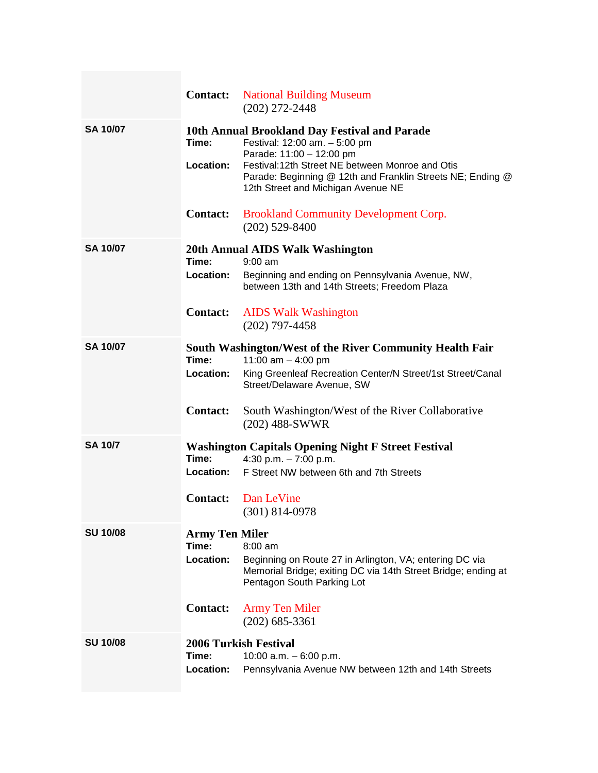|                 |                                                                | <b>Contact:</b> National Building Museum<br>$(202)$ 272-2448                                                                                                                                                                                                      |
|-----------------|----------------------------------------------------------------|-------------------------------------------------------------------------------------------------------------------------------------------------------------------------------------------------------------------------------------------------------------------|
| <b>SA 10/07</b> | Time:<br>Location:                                             | 10th Annual Brookland Day Festival and Parade<br>Festival: 12:00 am. - 5:00 pm<br>Parade: 11:00 - 12:00 pm<br>Festival:12th Street NE between Monroe and Otis<br>Parade: Beginning @ 12th and Franklin Streets NE; Ending @<br>12th Street and Michigan Avenue NE |
|                 | <b>Contact:</b>                                                | <b>Brookland Community Development Corp.</b><br>$(202)$ 529-8400                                                                                                                                                                                                  |
| <b>SA 10/07</b> | Time:<br>Location:<br><b>Contact:</b>                          | 20th Annual AIDS Walk Washington<br>$9:00$ am<br>Beginning and ending on Pennsylvania Avenue, NW,<br>between 13th and 14th Streets; Freedom Plaza<br><b>AIDS Walk Washington</b><br>$(202)$ 797-4458                                                              |
| <b>SA 10/07</b> | Time:<br>Location:<br><b>Contact:</b>                          | South Washington/West of the River Community Health Fair<br>11:00 am $-$ 4:00 pm<br>King Greenleaf Recreation Center/N Street/1st Street/Canal<br>Street/Delaware Avenue, SW<br>South Washington/West of the River Collaborative<br>$(202)$ 488-SWWR              |
| <b>SA 10/7</b>  | Time:<br><b>Contact:</b>                                       | <b>Washington Capitals Opening Night F Street Festival</b><br>4:30 p.m. $-7:00$ p.m.<br><b>Location:</b> F Street NW between 6th and 7th Streets<br>Dan LeVine<br>$(301)$ 814-0978                                                                                |
| <b>SU 10/08</b> | <b>Army Ten Miler</b><br>Time:<br>Location:<br><b>Contact:</b> | $8:00$ am<br>Beginning on Route 27 in Arlington, VA; entering DC via<br>Memorial Bridge; exiting DC via 14th Street Bridge; ending at<br>Pentagon South Parking Lot<br><b>Army Ten Miler</b><br>$(202)$ 685-3361                                                  |
| <b>SU 10/08</b> | Time:<br>Location:                                             | <b>2006 Turkish Festival</b><br>10:00 a.m. $-6:00$ p.m.<br>Pennsylvania Avenue NW between 12th and 14th Streets                                                                                                                                                   |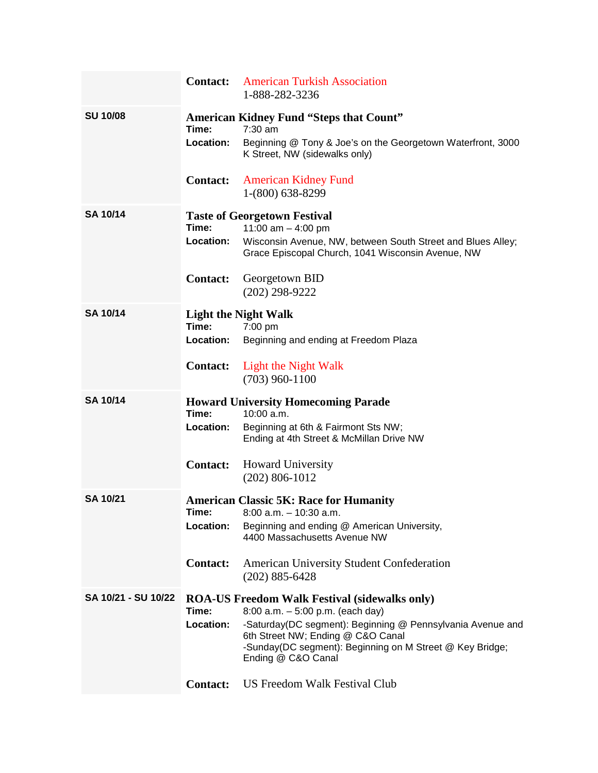|                     | <b>Contact:</b>    | <b>American Turkish Association</b><br>1-888-282-3236                                                                                                                             |
|---------------------|--------------------|-----------------------------------------------------------------------------------------------------------------------------------------------------------------------------------|
| <b>SU 10/08</b>     | Time:              | <b>American Kidney Fund "Steps that Count"</b><br>$7:30$ am                                                                                                                       |
|                     | Location:          | Beginning @ Tony & Joe's on the Georgetown Waterfront, 3000<br>K Street, NW (sidewalks only)                                                                                      |
|                     | <b>Contact:</b>    | <b>American Kidney Fund</b><br>1-(800) 638-8299                                                                                                                                   |
| <b>SA 10/14</b>     | Time:              | <b>Taste of Georgetown Festival</b><br>11:00 am $-$ 4:00 pm                                                                                                                       |
|                     | Location:          | Wisconsin Avenue, NW, between South Street and Blues Alley;<br>Grace Episcopal Church, 1041 Wisconsin Avenue, NW                                                                  |
|                     | <b>Contact:</b>    | Georgetown BID<br>$(202)$ 298-9222                                                                                                                                                |
| <b>SA 10/14</b>     |                    | <b>Light the Night Walk</b>                                                                                                                                                       |
|                     | Time:<br>Location: | $7:00$ pm<br>Beginning and ending at Freedom Plaza                                                                                                                                |
|                     |                    |                                                                                                                                                                                   |
|                     | <b>Contact:</b>    | Light the Night Walk<br>$(703)$ 960-1100                                                                                                                                          |
| <b>SA 10/14</b>     |                    | <b>Howard University Homecoming Parade</b>                                                                                                                                        |
|                     | Time:              | 10:00 a.m.                                                                                                                                                                        |
|                     | Location:          | Beginning at 6th & Fairmont Sts NW;<br>Ending at 4th Street & McMillan Drive NW                                                                                                   |
|                     | <b>Contact:</b>    | <b>Howard University</b><br>$(202)$ 806-1012                                                                                                                                      |
| <b>SA 10/21</b>     |                    | <b>American Classic 5K: Race for Humanity</b>                                                                                                                                     |
|                     | Time:<br>Location: | 8:00 a.m. – 10:30 a.m.<br>Beginning and ending @ American University,                                                                                                             |
|                     |                    | 4400 Massachusetts Avenue NW                                                                                                                                                      |
|                     | <b>Contact:</b>    | <b>American University Student Confederation</b><br>$(202)$ 885-6428                                                                                                              |
| SA 10/21 - SU 10/22 | Time:              | <b>ROA-US Freedom Walk Festival (sidewalks only)</b><br>$8:00$ a.m. $-5:00$ p.m. (each day)                                                                                       |
|                     | Location:          | -Saturday(DC segment): Beginning @ Pennsylvania Avenue and<br>6th Street NW; Ending @ C&O Canal<br>-Sunday(DC segment): Beginning on M Street @ Key Bridge;<br>Ending @ C&O Canal |
|                     | <b>Contact:</b>    | US Freedom Walk Festival Club                                                                                                                                                     |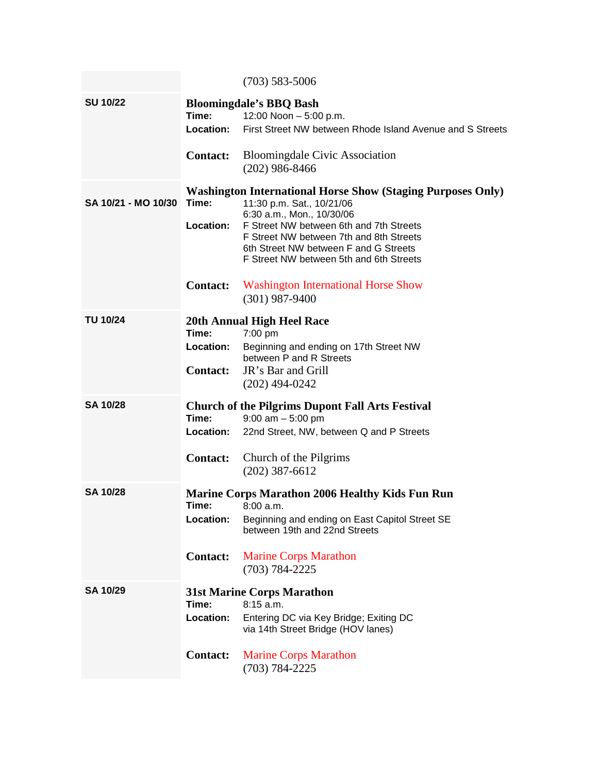|                     |                                              | $(703)$ 583-5006                                                                                                                                                                                                                                                                                       |
|---------------------|----------------------------------------------|--------------------------------------------------------------------------------------------------------------------------------------------------------------------------------------------------------------------------------------------------------------------------------------------------------|
| <b>SU 10/22</b>     | Time:<br><b>Location:</b>                    | <b>Bloomingdale's BBQ Bash</b><br>12:00 Noon $-5:00$ p.m.<br>First Street NW between Rhode Island Avenue and S Streets                                                                                                                                                                                 |
|                     | <b>Contact:</b>                              | <b>Bloomingdale Civic Association</b><br>$(202)$ 986-8466                                                                                                                                                                                                                                              |
| SA 10/21 - MO 10/30 | Time:<br>Location:<br><b>Contact:</b>        | <b>Washington International Horse Show (Staging Purposes Only)</b><br>11:30 p.m. Sat., 10/21/06<br>6:30 a.m., Mon., 10/30/06<br>F Street NW between 6th and 7th Streets<br>F Street NW between 7th and 8th Streets<br>6th Street NW between F and G Streets<br>F Street NW between 5th and 6th Streets |
|                     |                                              | <b>Washington International Horse Show</b><br>$(301)$ 987-9400                                                                                                                                                                                                                                         |
| <b>TU 10/24</b>     | Time:<br>Location:<br><b>Contact:</b>        | 20th Annual High Heel Race<br>7:00 pm<br>Beginning and ending on 17th Street NW<br>between P and R Streets<br>JR's Bar and Grill<br>$(202)$ 494-0242                                                                                                                                                   |
| <b>SA 10/28</b>     | Time:<br><b>Location:</b><br><b>Contact:</b> | <b>Church of the Pilgrims Dupont Fall Arts Festival</b><br>$9:00$ am $-5:00$ pm<br>22nd Street, NW, between Q and P Streets<br>Church of the Pilgrims<br>$(202)$ 387-6612                                                                                                                              |
| <b>SA 10/28</b>     | Time:<br>Location:<br><b>Contact:</b>        | <b>Marine Corps Marathon 2006 Healthy Kids Fun Run</b><br>8:00a.m.<br>Beginning and ending on East Capitol Street SE<br>between 19th and 22nd Streets<br><b>Marine Corps Marathon</b><br>$(703) 784 - 2225$                                                                                            |
| <b>SA 10/29</b>     | Time:<br>Location:<br><b>Contact:</b>        | <b>31st Marine Corps Marathon</b><br>8:15 a.m.<br>Entering DC via Key Bridge; Exiting DC<br>via 14th Street Bridge (HOV lanes)<br><b>Marine Corps Marathon</b>                                                                                                                                         |
|                     |                                              | $(703) 784 - 2225$                                                                                                                                                                                                                                                                                     |